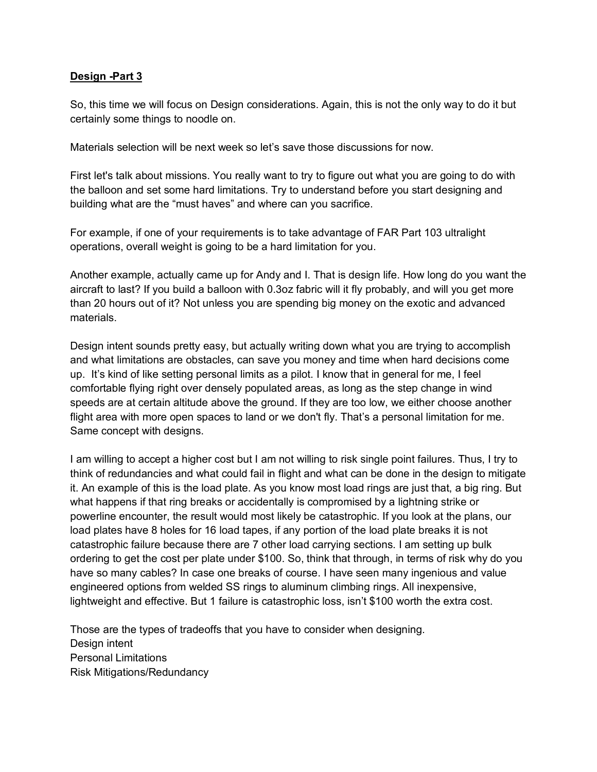## **Design -Part 3**

So, this time we will focus on Design considerations. Again, this is not the only way to do it but certainly some things to noodle on.

Materials selection will be next week so let's save those discussions for now.

First let's talk about missions. You really want to try to figure out what you are going to do with the balloon and set some hard limitations. Try to understand before you start designing and building what are the "must haves" and where can you sacrifice.

For example, if one of your requirements is to take advantage of FAR Part 103 ultralight operations, overall weight is going to be a hard limitation for you.

Another example, actually came up for Andy and I. That is design life. How long do you want the aircraft to last? If you build a balloon with 0.3oz fabric will it fly probably, and will you get more than 20 hours out of it? Not unless you are spending big money on the exotic and advanced materials.

Design intent sounds pretty easy, but actually writing down what you are trying to accomplish and what limitations are obstacles, can save you money and time when hard decisions come up. It's kind of like setting personal limits as a pilot. I know that in general for me, I feel comfortable flying right over densely populated areas, as long as the step change in wind speeds are at certain altitude above the ground. If they are too low, we either choose another flight area with more open spaces to land or we don't fly. That's a personal limitation for me. Same concept with designs.

I am willing to accept a higher cost but I am not willing to risk single point failures. Thus, I try to think of redundancies and what could fail in flight and what can be done in the design to mitigate it. An example of this is the load plate. As you know most load rings are just that, a big ring. But what happens if that ring breaks or accidentally is compromised by a lightning strike or powerline encounter, the result would most likely be catastrophic. If you look at the plans, our load plates have 8 holes for 16 load tapes, if any portion of the load plate breaks it is not catastrophic failure because there are 7 other load carrying sections. I am setting up bulk ordering to get the cost per plate under \$100. So, think that through, in terms of risk why do you have so many cables? In case one breaks of course. I have seen many ingenious and value engineered options from welded SS rings to aluminum climbing rings. All inexpensive, lightweight and effective. But 1 failure is catastrophic loss, isn't \$100 worth the extra cost.

Those are the types of tradeoffs that you have to consider when designing. Design intent Personal Limitations Risk Mitigations/Redundancy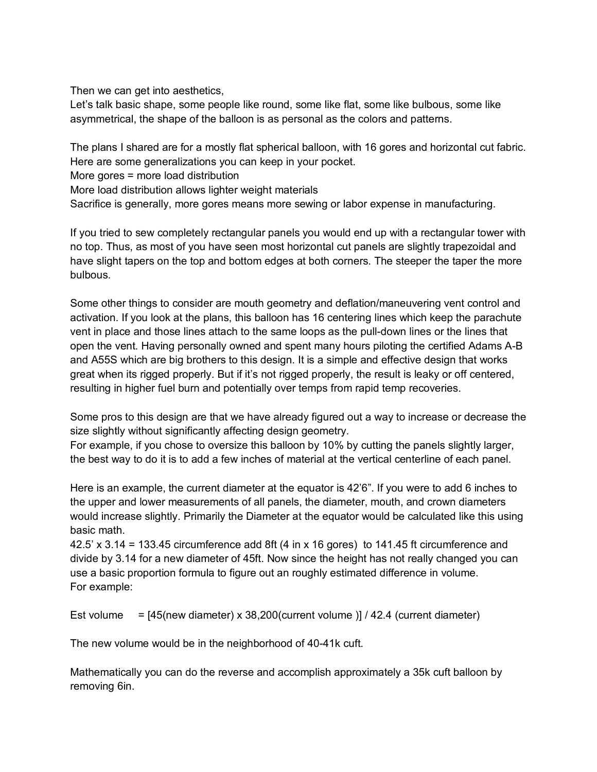Then we can get into aesthetics,

Let's talk basic shape, some people like round, some like flat, some like bulbous, some like asymmetrical, the shape of the balloon is as personal as the colors and patterns.

The plans I shared are for a mostly flat spherical balloon, with 16 gores and horizontal cut fabric. Here are some generalizations you can keep in your pocket.

More gores = more load distribution

More load distribution allows lighter weight materials

Sacrifice is generally, more gores means more sewing or labor expense in manufacturing.

If you tried to sew completely rectangular panels you would end up with a rectangular tower with no top. Thus, as most of you have seen most horizontal cut panels are slightly trapezoidal and have slight tapers on the top and bottom edges at both corners. The steeper the taper the more bulbous.

Some other things to consider are mouth geometry and deflation/maneuvering vent control and activation. If you look at the plans, this balloon has 16 centering lines which keep the parachute vent in place and those lines attach to the same loops as the pull-down lines or the lines that open the vent. Having personally owned and spent many hours piloting the certified Adams A-B and A55S which are big brothers to this design. It is a simple and effective design that works great when its rigged properly. But if it's not rigged properly, the result is leaky or off centered, resulting in higher fuel burn and potentially over temps from rapid temp recoveries.

Some pros to this design are that we have already figured out a way to increase or decrease the size slightly without significantly affecting design geometry.

For example, if you chose to oversize this balloon by 10% by cutting the panels slightly larger, the best way to do it is to add a few inches of material at the vertical centerline of each panel.

Here is an example, the current diameter at the equator is 42'6". If you were to add 6 inches to the upper and lower measurements of all panels, the diameter, mouth, and crown diameters would increase slightly. Primarily the Diameter at the equator would be calculated like this using basic math.

42.5' x 3.14 = 133.45 circumference add 8ft (4 in x 16 gores) to 141.45 ft circumference and divide by 3.14 for a new diameter of 45ft. Now since the height has not really changed you can use a basic proportion formula to figure out an roughly estimated difference in volume. For example:

Est volume =  $[45$ (new diameter) x 38,200 (current volume )] / 42.4 (current diameter)

The new volume would be in the neighborhood of 40-41k cuft.

Mathematically you can do the reverse and accomplish approximately a 35k cuft balloon by removing 6in.